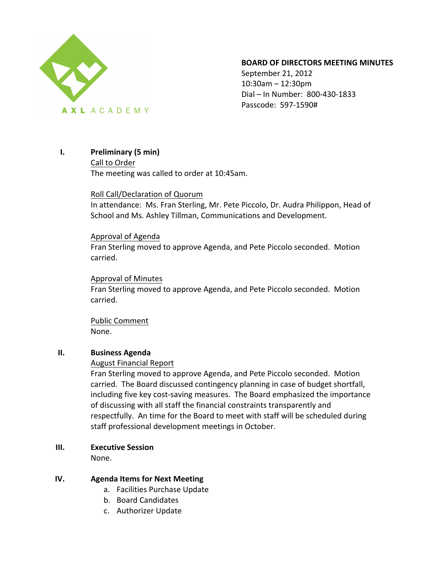

## **BOARD OF DIRECTORS MEETING MINUTES**

September 21, 2012  $10:30$ am –  $12:30$ pm Dial – In Number: 800-430-1833 Passcode: 597-1590#

# **I. Preliminary (5 min)**

# Call to Order The meeting was called to order at 10:45am.

### Roll Call/Declaration of Quorum

In attendance: Ms. Fran Sterling, Mr. Pete Piccolo, Dr. Audra Philippon, Head of School and Ms. Ashley Tillman, Communications and Development.

### Approval of Agenda

Fran Sterling moved to approve Agenda, and Pete Piccolo seconded. Motion carried.

### Approval of Minutes

Fran Sterling moved to approve Agenda, and Pete Piccolo seconded. Motion carried.

Public Comment None. 

### **II. Business Agenda**

# August Financial Report

Fran Sterling moved to approve Agenda, and Pete Piccolo seconded. Motion carried. The Board discussed contingency planning in case of budget shortfall, including five key cost-saving measures. The Board emphasized the importance of discussing with all staff the financial constraints transparently and respectfully. An time for the Board to meet with staff will be scheduled during staff professional development meetings in October.

# **III. Executive Session**

None. 

# **IV. Agenda Items for Next Meeting**

- a. Facilities Purchase Update
- b. Board Candidates
- c. Authorizer Update